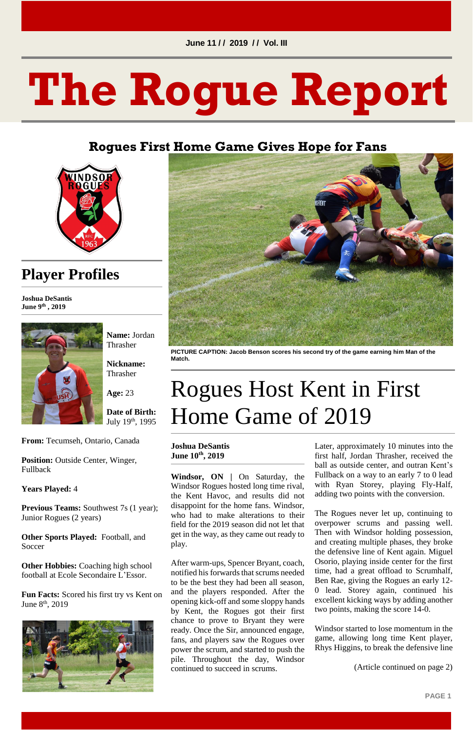#### **June 11 / / 2019 / / Vol. III**

**PAGE 1**

# **The Rogue Report**

### **Rogues First Home Game Gives Hope for Fans**



**Date of Birth:**  July 19<sup>th</sup>, 1995

### **Player Profiles**

**Joshua DeSantis June 9 th , 2019**



**Position:** Outside Center, Winger, Fullback

**Name:** Jordan Thrasher

**Nickname:**  Thrasher

Previous Teams: Southwest 7s (1 year); Junior Rogues (2 years)

**Age:** 23

**From:** Tecumseh, Ontario, Canada

**Other Hobbies:** Coaching high school football at Ecole Secondaire L'Essor.

**Fun Facts:** Scored his first try vs Kent on June 8<sup>th</sup>, 2019



**Years Played:** 4

**Other Sports Played:** Football, and Soccer



**PICTURE CAPTION: Jacob Benson scores his second try of the game earning him Man of the Match.**

# Rogues Host Kent in First Home Game of 2019

#### **Joshua DeSantis June 10th, 2019**

**Windsor, ON |** On Saturday, the Windsor Rogues hosted long time rival, the Kent Havoc, and results did not disappoint for the home fans. Windsor, who had to make alterations to their field for the 2019 season did not let that get in the way, as they came out ready to play.

After warm-ups, Spencer Bryant, coach, notified his forwards that scrums needed to be the best they had been all season, and the players responded. After the opening kick-off and some sloppy hands by Kent, the Rogues got their first chance to prove to Bryant they were ready. Once the Sir, announced engage, fans, and players saw the Rogues over power the scrum, and started to push the pile. Throughout the day, Windsor continued to succeed in scrums.

Later, approximately 10 minutes into the first half, Jordan Thrasher, received the ball as outside center, and outran Kent's Fullback on a way to an early 7 to 0 lead with Ryan Storey, playing Fly-Half, adding two points with the conversion.

The Rogues never let up, continuing to overpower scrums and passing well. Then with Windsor holding possession, and creating multiple phases, they broke the defensive line of Kent again. Miguel Osorio, playing inside center for the first time, had a great offload to Scrumhalf, Ben Rae, giving the Rogues an early 12- 0 lead. Storey again, continued his excellent kicking ways by adding another two points, making the score 14-0.

Windsor started to lose momentum in the game, allowing long time Kent player, Rhys Higgins, to break the defensive line

(Article continued on page 2)